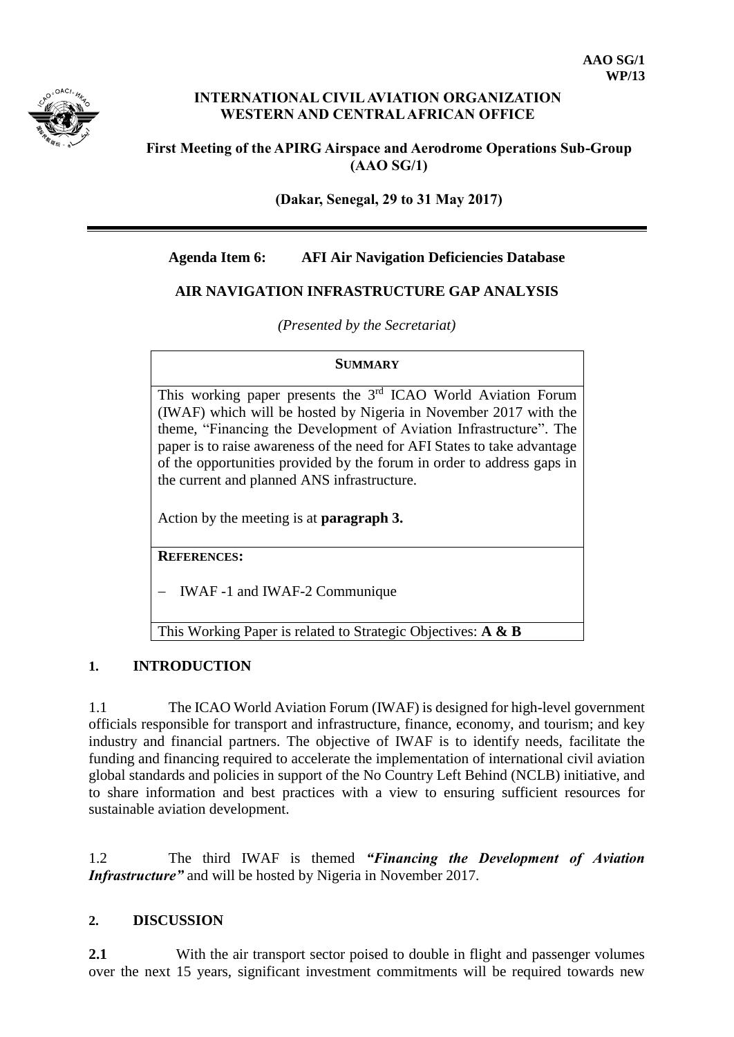

## **INTERNATIONAL CIVIL AVIATION ORGANIZATION WESTERN AND CENTRAL AFRICAN OFFICE**

## **First Meeting of the APIRG Airspace and Aerodrome Operations Sub-Group (AAO SG/1)**

**(Dakar, Senegal, 29 to 31 May 2017)**

# **Agenda Item 6: AFI Air Navigation Deficiencies Database**

# **AIR NAVIGATION INFRASTRUCTURE GAP ANALYSIS**

*(Presented by the Secretariat)*

#### **SUMMARY**

This working paper presents the 3<sup>rd</sup> ICAO World Aviation Forum (IWAF) which will be hosted by Nigeria in November 2017 with the theme, "Financing the Development of Aviation Infrastructure". The paper is to raise awareness of the need for AFI States to take advantage of the opportunities provided by the forum in order to address gaps in the current and planned ANS infrastructure.

Action by the meeting is at **paragraph 3.**

**REFERENCES:**

IWAF -1 and IWAF-2 Communique

This Working Paper is related to Strategic Objectives: **A & B**

## **1. INTRODUCTION**

1.1 The ICAO World Aviation Forum (IWAF) is designed for high-level government officials responsible for transport and infrastructure, finance, economy, and tourism; and key industry and financial partners. The objective of IWAF is to identify needs, facilitate the funding and financing required to accelerate the implementation of international civil aviation global standards and policies in support of the No Country Left Behind (NCLB) initiative, and to share information and best practices with a view to ensuring sufficient resources for sustainable aviation development.

1.2 The third IWAF is themed *"Financing the Development of Aviation Infrastructure"* and will be hosted by Nigeria in November 2017.

## **2. DISCUSSION**

**2.1** With the air transport sector poised to double in flight and passenger volumes over the next 15 years, significant investment commitments will be required towards new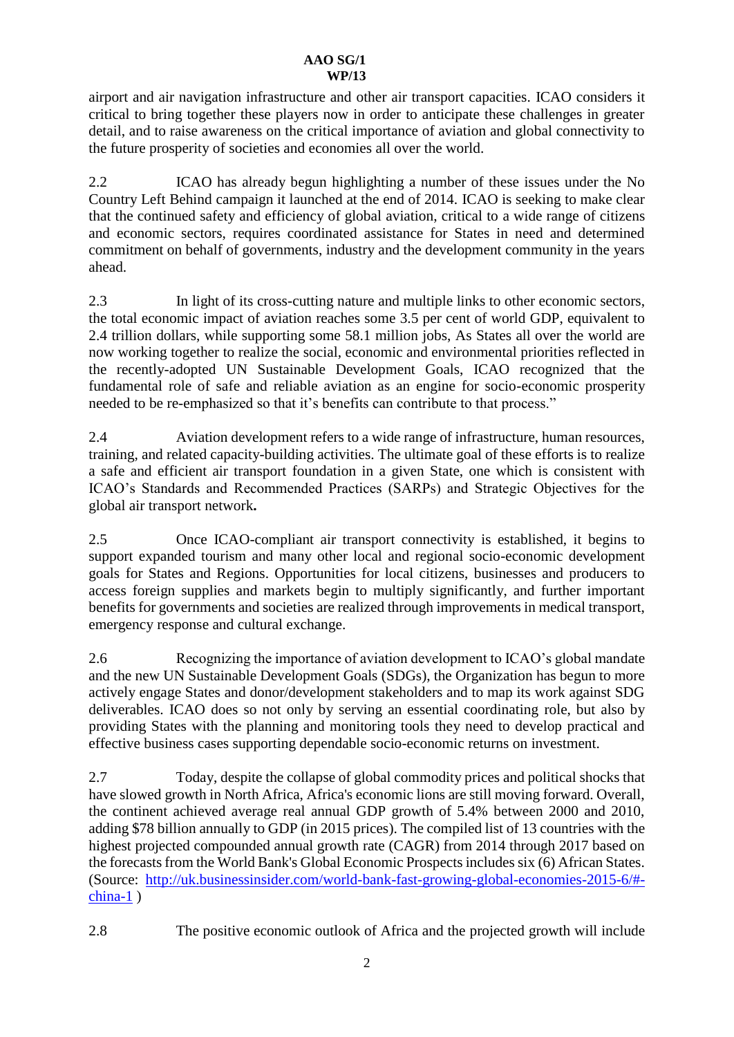airport and air navigation infrastructure and other air transport capacities. ICAO considers it critical to bring together these players now in order to anticipate these challenges in greater detail, and to raise awareness on the critical importance of aviation and global connectivity to the future prosperity of societies and economies all over the world.

2.2 ICAO has already begun highlighting a number of these issues under the No Country Left Behind campaign it launched at the end of 2014. ICAO is seeking to make clear that the continued safety and efficiency of global aviation, critical to a wide range of citizens and economic sectors, requires coordinated assistance for States in need and determined commitment on behalf of governments, industry and the development community in the years ahead.

2.3 In light of its cross-cutting nature and multiple links to other economic sectors, the total economic impact of aviation reaches some 3.5 per cent of world GDP, equivalent to 2.4 trillion dollars, while supporting some 58.1 million jobs, As States all over the world are now working together to realize the social, economic and environmental priorities reflected in the recently-adopted UN Sustainable Development Goals, ICAO recognized that the fundamental role of safe and reliable aviation as an engine for socio-economic prosperity needed to be re-emphasized so that it's benefits can contribute to that process."

2.4 Aviation development refers to a wide range of infrastructure, human resources, training, and related capacity-building activities. The ultimate goal of these efforts is to realize a safe and efficient air transport foundation in a given State, one which is consistent with ICAO's Standards and Recommended Practices (SARPs) and Strategic Objectives for the global air transport network**.**

2.5 Once ICAO-compliant air transport connectivity is established, it begins to support expanded tourism and many other local and regional socio-economic development goals for States and Regions. Opportunities for local citizens, businesses and producers to access foreign supplies and markets begin to multiply significantly, and further important benefits for governments and societies are realized through improvements in medical transport, emergency response and cultural exchange.

2.6 Recognizing the importance of aviation development to ICAO's global mandate and the new UN Sustainable Development Goals (SDGs), the Organization has begun to more actively engage States and donor/development stakeholders and to map its work against SDG deliverables. ICAO does so not only by serving an essential coordinating role, but also by providing States with the planning and monitoring tools they need to develop practical and effective business cases supporting dependable socio-economic returns on investment.

2.7 Today, despite the collapse of global commodity prices and political shocks that have slowed growth in North Africa, Africa's economic lions are still moving forward. Overall, the continent achieved average real annual GDP growth of 5.4% between 2000 and 2010, adding \$78 billion annually to GDP (in 2015 prices). The compiled list of 13 countries with the highest projected compounded annual growth rate (CAGR) from 2014 through 2017 based on the forecasts from the World Bank's Global Economic Prospects includes six (6) African States. (Source: [http://uk.businessinsider.com/world-bank-fast-growing-global-economies-2015-6/#](http://uk.businessinsider.com/world-bank-fast-growing-global-economies-2015-6/#-china-1) [china-1](http://uk.businessinsider.com/world-bank-fast-growing-global-economies-2015-6/#-china-1) )

2.8 The positive economic outlook of Africa and the projected growth will include